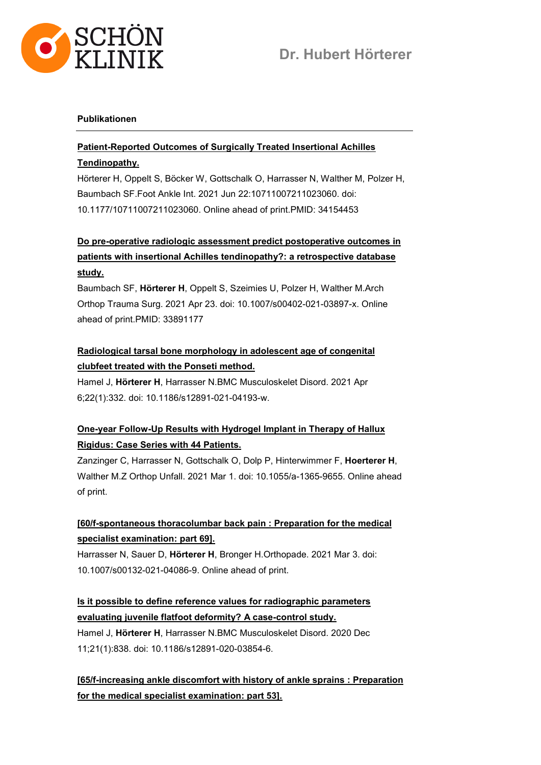

#### Publikationen

### Patient-Reported Outcomes of Surgically Treated Insertional Achilles Tendinopathy.

Hörterer H, Oppelt S, Böcker W, Gottschalk O, Harrasser N, Walther M, Polzer H, Baumbach SF.Foot Ankle Int. 2021 Jun 22:10711007211023060. doi: 10.1177/10711007211023060. Online ahead of print.PMID: 34154453

## Do pre-operative radiologic assessment predict postoperative outcomes in patients with insertional Achilles tendinopathy?: a retrospective database study.

Baumbach SF, Hörterer H, Oppelt S, Szeimies U, Polzer H, Walther M.Arch Orthop Trauma Surg. 2021 Apr 23. doi: 10.1007/s00402-021-03897-x. Online ahead of print.PMID: 33891177

### Radiological tarsal bone morphology in adolescent age of congenital clubfeet treated with the Ponseti method.

Hamel J, Hörterer H, Harrasser N.BMC Musculoskelet Disord. 2021 Apr 6;22(1):332. doi: 10.1186/s12891-021-04193-w.

# One-year Follow-Up Results with Hydrogel Implant in Therapy of Hallux Rigidus: Case Series with 44 Patients.

Zanzinger C, Harrasser N, Gottschalk O, Dolp P, Hinterwimmer F, Hoerterer H, Walther M.Z Orthop Unfall. 2021 Mar 1. doi: 10.1055/a-1365-9655. Online ahead of print.

## [60/f-spontaneous thoracolumbar back pain : Preparation for the medical specialist examination: part 69].

Harrasser N, Sauer D, Hörterer H, Bronger H.Orthopade. 2021 Mar 3. doi: 10.1007/s00132-021-04086-9. Online ahead of print.

## Is it possible to define reference values for radiographic parameters evaluating juvenile flatfoot deformity? A case-control study.

Hamel J, Hörterer H, Harrasser N.BMC Musculoskelet Disord. 2020 Dec 11;21(1):838. doi: 10.1186/s12891-020-03854-6.

[65/f-increasing ankle discomfort with history of ankle sprains : Preparation for the medical specialist examination: part 53].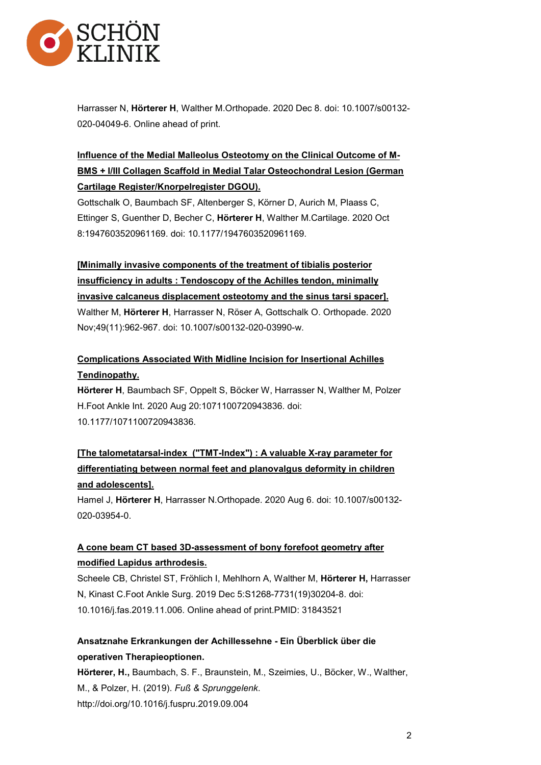

Harrasser N, Hörterer H, Walther M.Orthopade. 2020 Dec 8. doi: 10.1007/s00132- 020-04049-6. Online ahead of print.

# Influence of the Medial Malleolus Osteotomy on the Clinical Outcome of M-BMS + I/III Collagen Scaffold in Medial Talar Osteochondral Lesion (German Cartilage Register/Knorpelregister DGOU).

Gottschalk O, Baumbach SF, Altenberger S, Körner D, Aurich M, Plaass C, Ettinger S, Guenther D, Becher C, Hörterer H, Walther M.Cartilage. 2020 Oct 8:1947603520961169. doi: 10.1177/1947603520961169.

[Minimally invasive components of the treatment of tibialis posterior insufficiency in adults : Tendoscopy of the Achilles tendon, minimally invasive calcaneus displacement osteotomy and the sinus tarsi spacer]. Walther M, Hörterer H, Harrasser N, Röser A, Gottschalk O. Orthopade. 2020 Nov;49(11):962-967. doi: 10.1007/s00132-020-03990-w.

## Complications Associated With Midline Incision for Insertional Achilles Tendinopathy.

Hörterer H, Baumbach SF, Oppelt S, Böcker W, Harrasser N, Walther M, Polzer H.Foot Ankle Int. 2020 Aug 20:1071100720943836. doi: 10.1177/1071100720943836.

# [The talometatarsal-index ("TMT-Index") : A valuable X-ray parameter for differentiating between normal feet and planovalgus deformity in children and adolescents].

Hamel J, Hörterer H, Harrasser N.Orthopade. 2020 Aug 6. doi: 10.1007/s00132-020-03954-0.

### A cone beam CT based 3D-assessment of bony forefoot geometry after modified Lapidus arthrodesis.

Scheele CB, Christel ST, Fröhlich I, Mehlhorn A, Walther M, Hörterer H, Harrasser N, Kinast C.Foot Ankle Surg. 2019 Dec 5:S1268-7731(19)30204-8. doi: 10.1016/j.fas.2019.11.006. Online ahead of print.PMID: 31843521

### Ansatznahe Erkrankungen der Achillessehne - Ein Überblick über die operativen Therapieoptionen.

Hörterer, H., Baumbach, S. F., Braunstein, M., Szeimies, U., Böcker, W., Walther, M., & Polzer, H. (2019). Fuß & Sprunggelenk. http://doi.org/10.1016/j.fuspru.2019.09.004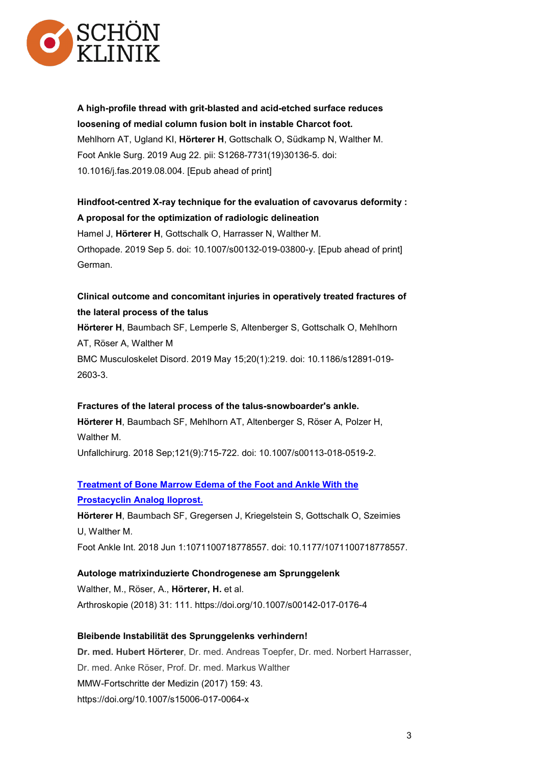

A high-profile thread with grit-blasted and acid-etched surface reduces loosening of medial column fusion bolt in instable Charcot foot. Mehlhorn AT, Ugland KI, Hörterer H, Gottschalk O, Südkamp N, Walther M. Foot Ankle Surg. 2019 Aug 22. pii: S1268-7731(19)30136-5. doi: 10.1016/j.fas.2019.08.004. [Epub ahead of print]

### Hindfoot-centred X-ray technique for the evaluation of cavovarus deformity : A proposal for the optimization of radiologic delineation

Hamel J, Hörterer H, Gottschalk O, Harrasser N, Walther M. Orthopade. 2019 Sep 5. doi: 10.1007/s00132-019-03800-y. [Epub ahead of print] German.

## Clinical outcome and concomitant injuries in operatively treated fractures of the lateral process of the talus

Hörterer H, Baumbach SF, Lemperle S, Altenberger S, Gottschalk O, Mehlhorn AT, Röser A, Walther M BMC Musculoskelet Disord. 2019 May 15;20(1):219. doi: 10.1186/s12891-019- 2603-3.

#### Fractures of the lateral process of the talus-snowboarder's ankle.

Hörterer H, Baumbach SF, Mehlhorn AT, Altenberger S, Röser A, Polzer H, Walther M.

Unfallchirurg. 2018 Sep;121(9):715-722. doi: 10.1007/s00113-018-0519-2.

### Treatment of Bone Marrow Edema of the Foot and Ankle With the Prostacyclin Analog Iloprost.

Hörterer H, Baumbach SF, Gregersen J, Kriegelstein S, Gottschalk O, Szeimies U, Walther M.

Foot Ankle Int. 2018 Jun 1:1071100718778557. doi: 10.1177/1071100718778557.

#### Autologe matrixinduzierte Chondrogenese am Sprunggelenk

Walther, M., Röser, A., Hörterer, H. et al. Arthroskopie (2018) 31: 111. https://doi.org/10.1007/s00142-017-0176-4

#### Bleibende Instabilität des Sprunggelenks verhindern!

Dr. med. Hubert Hörterer, Dr. med. Andreas Toepfer, Dr. med. Norbert Harrasser, Dr. med. Anke Röser, Prof. Dr. med. Markus Walther MMW-Fortschritte der Medizin (2017) 159: 43. https://doi.org/10.1007/s15006-017-0064-x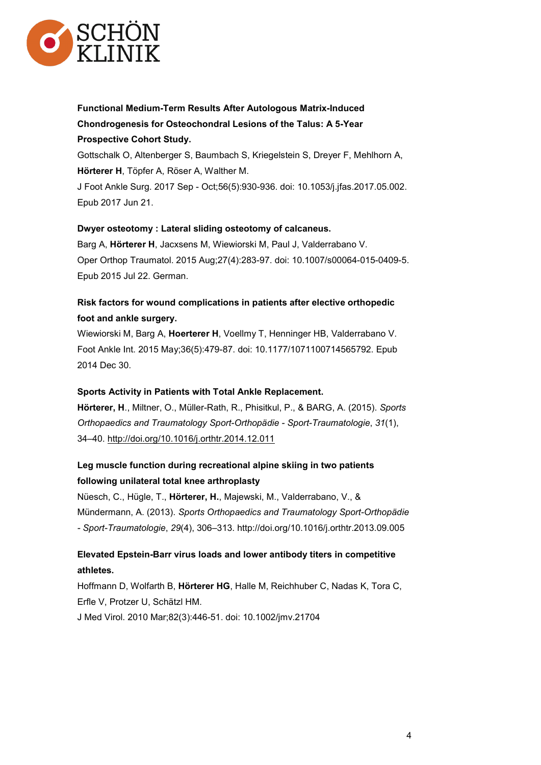

Functional Medium-Term Results After Autologous Matrix-Induced Chondrogenesis for Osteochondral Lesions of the Talus: A 5-Year Prospective Cohort Study.

Gottschalk O, Altenberger S, Baumbach S, Kriegelstein S, Dreyer F, Mehlhorn A, Hörterer H, Töpfer A, Röser A, Walther M.

J Foot Ankle Surg. 2017 Sep - Oct;56(5):930-936. doi: 10.1053/j.jfas.2017.05.002. Epub 2017 Jun 21.

#### Dwyer osteotomy : Lateral sliding osteotomy of calcaneus.

Barg A, Hörterer H, Jacxsens M, Wiewiorski M, Paul J, Valderrabano V. Oper Orthop Traumatol. 2015 Aug;27(4):283-97. doi: 10.1007/s00064-015-0409-5. Epub 2015 Jul 22. German.

### Risk factors for wound complications in patients after elective orthopedic foot and ankle surgery.

Wiewiorski M, Barg A, Hoerterer H, Voellmy T, Henninger HB, Valderrabano V. Foot Ankle Int. 2015 May;36(5):479-87. doi: 10.1177/1071100714565792. Epub 2014 Dec 30.

#### Sports Activity in Patients with Total Ankle Replacement.

Hörterer, H., Miltner, O., Müller-Rath, R., Phisitkul, P., & BARG, A. (2015). Sports Orthopaedics and Traumatology Sport-Orthopädie - Sport-Traumatologie, 31(1), 34–40. http://doi.org/10.1016/j.orthtr.2014.12.011

#### Leg muscle function during recreational alpine skiing in two patients following unilateral total knee arthroplasty

Nüesch, C., Hügle, T., Hörterer, H., Majewski, M., Valderrabano, V., & Mündermann, A. (2013). Sports Orthopaedics and Traumatology Sport-Orthopädie - Sport-Traumatologie, 29(4), 306–313. http://doi.org/10.1016/j.orthtr.2013.09.005

#### Elevated Epstein-Barr virus loads and lower antibody titers in competitive athletes.

Hoffmann D, Wolfarth B, Hörterer HG, Halle M, Reichhuber C, Nadas K, Tora C, Erfle V, Protzer U, Schätzl HM.

J Med Virol. 2010 Mar;82(3):446-51. doi: 10.1002/jmv.21704